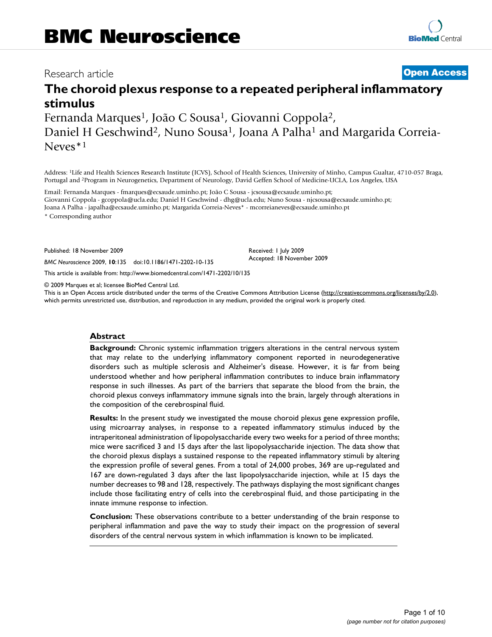# Research article **[Open Access](http://www.biomedcentral.com/info/about/charter/)**

# **The choroid plexus response to a repeated peripheral inflammatory stimulus**

Fernanda Marques<sup>1</sup>, João C Sousa<sup>1</sup>, Giovanni Coppola<sup>2</sup>, Daniel H Geschwind<sup>2</sup>, Nuno Sousa<sup>1</sup>, Joana A Palha<sup>1</sup> and Margarida Correia-Neves\*1

Address: 1Life and Health Sciences Research Institute (ICVS), School of Health Sciences, University of Minho, Campus Gualtar, 4710-057 Braga, Portugal and 2Program in Neurogenetics, Department of Neurology, David Geffen School of Medicine-UCLA, Los Angeles, USA

Email: Fernanda Marques - fmarques@ecsaude.uminho.pt; João C Sousa - jcsousa@ecsaude.uminho.pt; Giovanni Coppola - gcoppola@ucla.edu; Daniel H Geschwind - dhg@ucla.edu; Nuno Sousa - njcsousa@ecsaude.uminho.pt; Joana A Palha - japalha@ecsaude.uminho.pt; Margarida Correia-Neves\* - mcorreianeves@ecsaude.uminho.pt

\* Corresponding author

Published: 18 November 2009

*BMC Neuroscience* 2009, **10**:135 doi:10.1186/1471-2202-10-135

[This article is available from: http://www.biomedcentral.com/1471-2202/10/135](http://www.biomedcentral.com/1471-2202/10/135)

© 2009 Marques et al; licensee BioMed Central Ltd.

This is an Open Access article distributed under the terms of the Creative Commons Attribution License [\(http://creativecommons.org/licenses/by/2.0\)](http://creativecommons.org/licenses/by/2.0), which permits unrestricted use, distribution, and reproduction in any medium, provided the original work is properly cited.

Received: 1 July 2009 Accepted: 18 November 2009

#### **Abstract**

**Background:** Chronic systemic inflammation triggers alterations in the central nervous system that may relate to the underlying inflammatory component reported in neurodegenerative disorders such as multiple sclerosis and Alzheimer's disease. However, it is far from being understood whether and how peripheral inflammation contributes to induce brain inflammatory response in such illnesses. As part of the barriers that separate the blood from the brain, the choroid plexus conveys inflammatory immune signals into the brain, largely through alterations in the composition of the cerebrospinal fluid.

**Results:** In the present study we investigated the mouse choroid plexus gene expression profile, using microarray analyses, in response to a repeated inflammatory stimulus induced by the intraperitoneal administration of lipopolysaccharide every two weeks for a period of three months; mice were sacrificed 3 and 15 days after the last lipopolysaccharide injection. The data show that the choroid plexus displays a sustained response to the repeated inflammatory stimuli by altering the expression profile of several genes. From a total of 24,000 probes, 369 are up-regulated and 167 are down-regulated 3 days after the last lipopolysaccharide injection, while at 15 days the number decreases to 98 and 128, respectively. The pathways displaying the most significant changes include those facilitating entry of cells into the cerebrospinal fluid, and those participating in the innate immune response to infection.

**Conclusion:** These observations contribute to a better understanding of the brain response to peripheral inflammation and pave the way to study their impact on the progression of several disorders of the central nervous system in which inflammation is known to be implicated.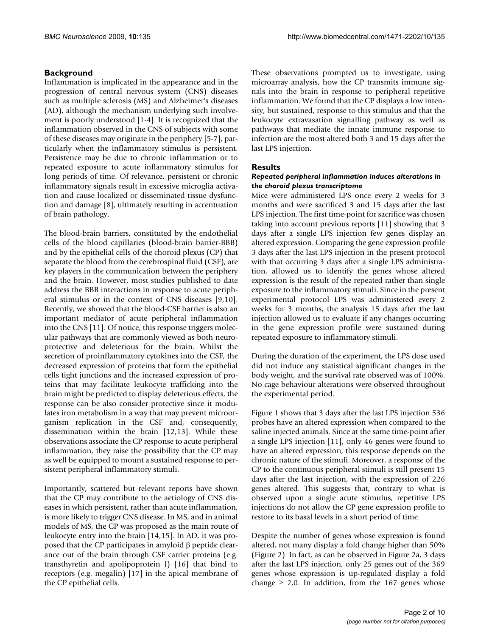# **Background**

Inflammation is implicated in the appearance and in the progression of central nervous system (CNS) diseases such as multiple sclerosis (MS) and Alzheimer's diseases (AD), although the mechanism underlying such involvement is poorly understood [1-4]. It is recognized that the inflammation observed in the CNS of subjects with some of these diseases may originate in the periphery [5-7], particularly when the inflammatory stimulus is persistent. Persistence may be due to chronic inflammation or to repeated exposure to acute inflammatory stimulus for long periods of time. Of relevance, persistent or chronic inflammatory signals result in excessive microglia activation and cause localized or disseminated tissue dysfunction and damage [8], ultimately resulting in accentuation of brain pathology.

The blood-brain barriers, constituted by the endothelial cells of the blood capillaries (blood-brain barrier-BBB) and by the epithelial cells of the choroid plexus (CP) that separate the blood from the cerebrospinal fluid (CSF), are key players in the communication between the periphery and the brain. However, most studies published to date address the BBB interactions in response to acute peripheral stimulus or in the context of CNS diseases [9,10]. Recently, we showed that the blood-CSF barrier is also an important mediator of acute peripheral inflammation into the CNS [11]. Of notice, this response triggers molecular pathways that are commonly viewed as both neuroprotective and deleterious for the brain. Whilst the secretion of proinflammatory cytokines into the CSF, the decreased expression of proteins that form the epithelial cells tight junctions and the increased expression of proteins that may facilitate leukocyte trafficking into the brain might be predicted to display deleterious effects, the response can be also consider protective since it modulates iron metabolism in a way that may prevent microorganism replication in the CSF and, consequently, dissemination within the brain [12,13]. While these observations associate the CP response to acute peripheral inflammation, they raise the possibility that the CP may as well be equipped to mount a sustained response to persistent peripheral inflammatory stimuli.

Importantly, scattered but relevant reports have shown that the CP may contribute to the aetiology of CNS diseases in which persistent, rather than acute inflammation, is more likely to trigger CNS disease. In MS, and in animal models of MS, the CP was proposed as the main route of leukocyte entry into the brain [14,15]. In AD, it was proposed that the CP participates in amyloid β peptide clearance out of the brain through CSF carrier proteins (e.g. transthyretin and apolipoprotein J) [16] that bind to receptors (e.g. megalin) [17] in the apical membrane of the CP epithelial cells.

These observations prompted us to investigate, using microarray analysis, how the CP transmits immune signals into the brain in response to peripheral repetitive inflammation. We found that the CP displays a low intensity, but sustained, response to this stimulus and that the leukocyte extravasation signalling pathway as well as pathways that mediate the innate immune response to infection are the most altered both 3 and 15 days after the last LPS injection.

# **Results**

## *Repeated peripheral inflammation induces alterations in the choroid plexus transcriptome*

Mice were administered LPS once every 2 weeks for 3 months and were sacrificed 3 and 15 days after the last LPS injection. The first time-point for sacrifice was chosen taking into account previous reports [11] showing that 3 days after a single LPS injection few genes display an altered expression. Comparing the gene expression profile 3 days after the last LPS injection in the present protocol with that occurring 3 days after a single LPS administration, allowed us to identify the genes whose altered expression is the result of the repeated rather than single exposure to the inflammatory stimuli. Since in the present experimental protocol LPS was administered every 2 weeks for 3 months, the analysis 15 days after the last injection allowed us to evaluate if any changes occurring in the gene expression profile were sustained during repeated exposure to inflammatory stimuli.

During the duration of the experiment, the LPS dose used did not induce any statistical significant changes in the body weight, and the survival rate observed was of 100%. No cage behaviour alterations were observed throughout the experimental period.

Figure 1 shows that 3 days after the last LPS injection 536 probes have an altered expression when compared to the saline injected animals. Since at the same time-point after a single LPS injection [11], only 46 genes were found to have an altered expression, this response depends on the chronic nature of the stimuli. Moreover, a response of the CP to the continuous peripheral stimuli is still present 15 days after the last injection, with the expression of 226 genes altered. This suggests that, contrary to what is observed upon a single acute stimulus, repetitive LPS injections do not allow the CP gene expression profile to restore to its basal levels in a short period of time.

Despite the number of genes whose expression is found altered, not many display a fold change higher than 50% (Figure 2). In fact, as can be observed in Figure 2a, 3 days after the last LPS injection, only 25 genes out of the 369 genes whose expression is up-regulated display a fold change  $\geq 2.0$ . In addition, from the 167 genes whose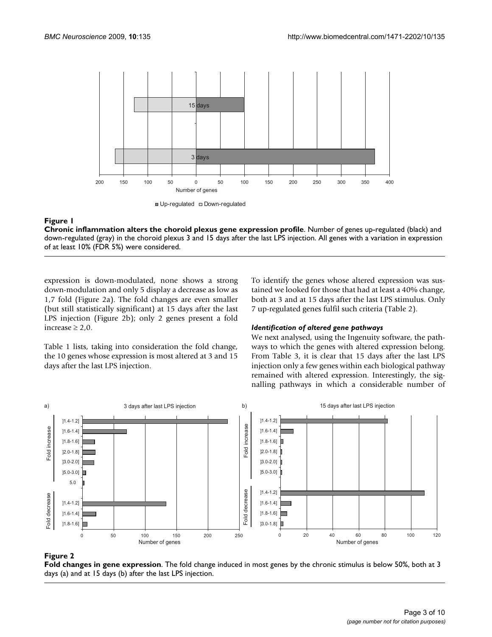

### Figure 1

**Chronic inflammation alters the choroid plexus gene expression profile**. Number of genes up-regulated (black) and down-regulated (gray) in the choroid plexus 3 and 15 days after the last LPS injection. All genes with a variation in expression of at least 10% (FDR 5%) were considered.

expression is down-modulated, none shows a strong down-modulation and only 5 display a decrease as low as 1,7 fold (Figure 2a). The fold changes are even smaller (but still statistically significant) at 15 days after the last LPS injection (Figure 2b); only 2 genes present a fold increase  $\geq 2.0$ .

Table 1 lists, taking into consideration the fold change, the 10 genes whose expression is most altered at 3 and 15 days after the last LPS injection.

To identify the genes whose altered expression was sustained we looked for those that had at least a 40% change, both at 3 and at 15 days after the last LPS stimulus. Only 7 up-regulated genes fulfil such criteria (Table 2).

# *Identification of altered gene pathways*

We next analysed, using the Ingenuity software, the pathways to which the genes with altered expression belong. From Table 3, it is clear that 15 days after the last LPS injection only a few genes within each biological pathway remained with altered expression. Interestingly, the signalling pathways in which a considerable number of



## Figure 2

**Fold changes in gene expression**. The fold change induced in most genes by the chronic stimulus is below 50%, both at 3 days (a) and at 15 days (b) after the last LPS injection.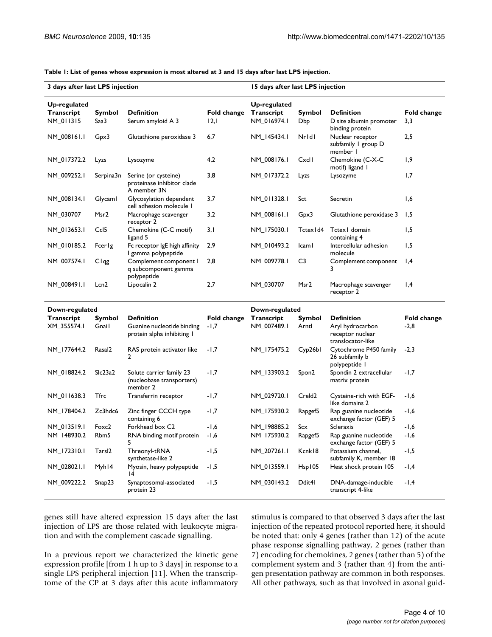| 3 days after last LPS injection |                    |                                                                   |                | 15 days after last LPS injection |                    |                                                           |                 |
|---------------------------------|--------------------|-------------------------------------------------------------------|----------------|----------------------------------|--------------------|-----------------------------------------------------------|-----------------|
| Up-regulated<br>Transcript      | Symbol             | <b>Definition</b>                                                 | Fold change    | Up-regulated<br>Transcript       | Symbol             | <b>Definition</b>                                         | Fold change     |
| NM_011315                       | Saa3               | Serum amyloid A 3                                                 | 12,1           | NM_016974.1                      | Dbp                | D site albumin promoter<br>binding protein                | 3,3             |
| NM_008161.1                     | Gpx3               | Glutathione peroxidase 3                                          | 6,7            | NM_145434.1                      | NrIdl              | Nuclear receptor<br>subfamily I group D<br>member I       | 2,5             |
| NM_017372.2                     | Lyzs               | Lysozyme                                                          | 4,2            | NM_008176.1                      | Cxcll              | Chemokine (C-X-C<br>motif) ligand l                       | 1,9             |
| NM_009252.1                     | Serpina3n          | Serine (or cysteine)<br>proteinase inhibitor clade<br>A member 3N | 3,8            | NM_017372.2                      | Lyzs               | Lysozyme                                                  | 1,7             |
| NM_008134.1                     | Glycam l           | Glycosylation dependent<br>cell adhesion molecule 1               | 3,7            | NM_011328.1                      | Sct                | Secretin                                                  | 1,6             |
| NM_030707                       | Msr2               | Macrophage scavenger<br>receptor 2                                | 3,2            | NM_008161.1                      | Gpx3               | Glutathione peroxidase 3                                  | 1,5             |
| NM_013653.1                     | Ccl <sub>5</sub>   | Chemokine (C-C motif)<br>ligand 5                                 | 3,1            | NM_175030.1                      | Tctex I d4         | Tctex1 domain<br>containing 4                             | 1,5             |
| NM_010185.2                     | Fcerlg             | Fc receptor IgE high affinity<br>I gamma polypeptide              | 2,9            | NM_010493.2                      | lcam l             | Intercellular adhesion<br>molecule                        | 1,5             |
| NM_007574.1                     | Cl <sub>qg</sub>   | Complement component I<br>q subcomponent gamma<br>polypeptide     | 2,8            | NM_009778.1                      | C3                 | Complement component<br>3                                 | $\mathsf{I}$ ,4 |
| NM_008491.1                     | Len2               | Lipocalin 2                                                       | 2,7            | NM_030707                        | Msr2               | Macrophage scavenger<br>receptor 2                        | ,4              |
| Down-regulated                  |                    |                                                                   | Down-regulated |                                  |                    |                                                           |                 |
| Transcript                      | Symbol             | <b>Definition</b>                                                 | Fold change    | Transcript                       | Symbol             | <b>Definition</b>                                         | Fold change     |
| XM_355574.1                     | Gnail              | Guanine nucleotide binding<br>protein alpha inhibiting I          | $-1,7$         | NM 007489.1                      | Arntl              | Aryl hydrocarbon<br>receptor nuclear<br>translocator-like | $-2,8$          |
| NM_177644.2                     | Rasal <sub>2</sub> | RAS protein activator like<br>2                                   | $-1,7$         | NM_175475.2                      | Cyp26b1            | Cytochrome P450 family<br>26 subfamily b<br>polypeptide I | $-2,3$          |
| NM_018824.2                     | Slc23a2            | Solute carrier family 23<br>(nucleobase transporters)<br>member 2 | $-1,7$         | NM_133903.2                      | Spon2              | Spondin 2 extracellular<br>matrix protein                 | $-1,7$          |
| NM_011638.3                     | <b>Tfrc</b>        | Transferrin receptor                                              | $-1,7$         | NM_029720.1                      | Creld <sub>2</sub> | Cysteine-rich with EGF-<br>like domains 2                 | $-1,6$          |
| NM_178404.2                     | Zc3hdc6            | Zinc finger CCCH type<br>containing 6                             | $-1,7$         | NM_175930.2                      | Rapgef5            | Rap guanine nucleotide<br>exchange factor (GEF) 5         | $-1,6$          |
| NM_013519.1                     | Foxc2              | Forkhead box C2                                                   | $-1,6$         | NM_198885.2                      | Scx                | <b>Scleraxis</b>                                          | $-1,6$          |
| NM_148930.2                     | Rbm <sub>5</sub>   | RNA binding motif protein<br>5                                    | $-1,6$         | NM_175930.2                      | Rapgef5            | Rap guanine nucleotide<br>exchange factor (GEF) 5         | $-1,6$          |
| NM_172310.1                     | Tars <sub>12</sub> | Threonyl-tRNA<br>synthetase-like 2                                | $-1,5$         | NM_207261.1                      | Kcnk18             | Potassium channel,<br>subfamily K, member 18              | $-1,5$          |
| NM_028021.1                     | Myh14              | Myosin, heavy polypeptide<br>$\overline{14}$                      | $-1,5$         | NM_013559.1                      | Hsp105             | Heat shock protein 105                                    | $-1,4$          |
| NM_009222.2                     | $S$ nap $23$       | Synaptosomal-associated<br>protein 23                             | $-1,5$         | NM_030143.2                      | Ddit4l             | DNA-damage-inducible<br>transcript 4-like                 | $-1,4$          |

#### **Table 1: List of genes whose expression is most altered at 3 and 15 days after last LPS injection.**

genes still have altered expression 15 days after the last injection of LPS are those related with leukocyte migration and with the complement cascade signalling.

In a previous report we characterized the kinetic gene expression profile [from 1 h up to 3 days] in response to a single LPS peripheral injection [11]. When the transcriptome of the CP at 3 days after this acute inflammatory stimulus is compared to that observed 3 days after the last injection of the repeated protocol reported here, it should be noted that: only 4 genes (rather than 12) of the acute phase response signalling pathway, 2 genes (rather than 7) encoding for chemokines, 2 genes (rather than 5) of the complement system and 3 (rather than 4) from the antigen presentation pathway are common in both responses. All other pathways, such as that involved in axonal guid-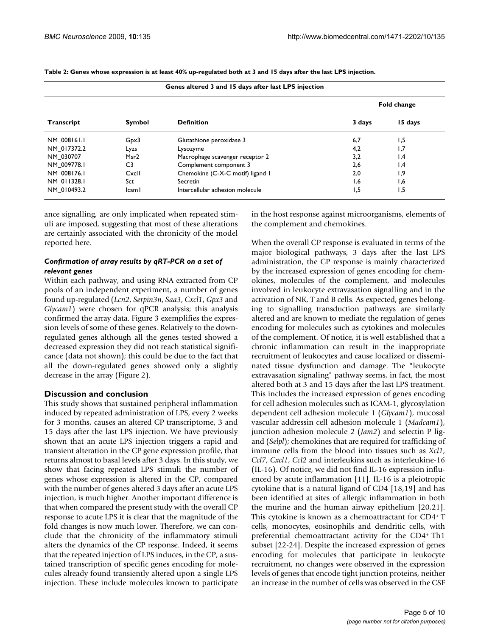| Genes altered 3 and 15 days after last LPS injection |                |                                  |             |                 |  |  |  |  |
|------------------------------------------------------|----------------|----------------------------------|-------------|-----------------|--|--|--|--|
|                                                      | Symbol         |                                  | Fold change |                 |  |  |  |  |
| <b>Transcript</b>                                    |                | <b>Definition</b>                | 3 days      | 15 days         |  |  |  |  |
| NM 008161.1                                          | Gpx3           | Glutathione peroxidase 3         | 6,7         | 1,5             |  |  |  |  |
| NM 017372.2                                          | Lyzs           | Lysozyme                         | 4,2         | 1,7             |  |  |  |  |
| NM 030707                                            | Msr2           | Macrophage scavenger receptor 2  | 3,2         | $\mathsf{I}$ ,4 |  |  |  |  |
| NM 009778.1                                          | C <sub>3</sub> | Complement component 3           | 2,6         | ,4              |  |  |  |  |
| NM 008176.1                                          | Cxcll          | Chemokine (C-X-C motif) ligand 1 | 2,0         | 1,9             |  |  |  |  |
| NM 011328.1                                          | Sct            | Secretin                         | 1,6         | 1,6             |  |  |  |  |
| NM 010493.2                                          | Icam I         | Intercellular adhesion molecule  | 1,5         | 1,5             |  |  |  |  |

**Table 2: Genes whose expression is at least 40% up-regulated both at 3 and 15 days after the last LPS injection.**

ance signalling, are only implicated when repeated stimuli are imposed, suggesting that most of these alterations are certainly associated with the chronicity of the model reported here.

#### *Confirmation of array results by qRT-PCR on a set of relevant genes*

Within each pathway, and using RNA extracted from CP pools of an independent experiment, a number of genes found up-regulated (*Lcn2*, *Serpin3n*, *Saa3*, *Cxcl1*, *Gpx3* and *Glycam1*) were chosen for qPCR analysis; this analysis confirmed the array data. Figure 3 exemplifies the expression levels of some of these genes. Relatively to the downregulated genes although all the genes tested showed a decreased expression they did not reach statistical significance (data not shown); this could be due to the fact that all the down-regulated genes showed only a slightly decrease in the array (Figure 2).

#### **Discussion and conclusion**

This study shows that sustained peripheral inflammation induced by repeated administration of LPS, every 2 weeks for 3 months, causes an altered CP transcriptome, 3 and 15 days after the last LPS injection. We have previously shown that an acute LPS injection triggers a rapid and transient alteration in the CP gene expression profile, that returns almost to basal levels after 3 days. In this study, we show that facing repeated LPS stimuli the number of genes whose expression is altered in the CP, compared with the number of genes altered 3 days after an acute LPS injection, is much higher. Another important difference is that when compared the present study with the overall CP response to acute LPS it is clear that the magnitude of the fold changes is now much lower. Therefore, we can conclude that the chronicity of the inflammatory stimuli alters the dynamics of the CP response. Indeed, it seems that the repeated injection of LPS induces, in the CP, a sustained transcription of specific genes encoding for molecules already found transiently altered upon a single LPS injection. These include molecules known to participate in the host response against microorganisms, elements of the complement and chemokines.

When the overall CP response is evaluated in terms of the major biological pathways, 3 days after the last LPS administration, the CP response is mainly characterized by the increased expression of genes encoding for chemokines, molecules of the complement, and molecules involved in leukocyte extravasation signalling and in the activation of NK, T and B cells. As expected, genes belonging to signalling transduction pathways are similarly altered and are known to mediate the regulation of genes encoding for molecules such as cytokines and molecules of the complement. Of notice, it is well established that a chronic inflammation can result in the inappropriate recruitment of leukocytes and cause localized or disseminated tissue dysfunction and damage. The "leukocyte extravasation signaling" pathway seems, in fact, the most altered both at 3 and 15 days after the last LPS treatment. This includes the increased expression of genes encoding for cell adhesion molecules such as ICAM-1, glycosylation dependent cell adhesion molecule 1 (*Glycam1*), mucosal vascular addressin cell adhesion molecule 1 (*Madcam1*), junction adhesion molecule 2 (*Jam2*) and selectin P ligand (*Selpl*); chemokines that are required for trafficking of immune cells from the blood into tissues such as *Xcl1*, *Ccl7*, *Cxcl1*, *Ccl2* and interleukins such as interleukine-16 (IL-16). Of notice, we did not find IL-16 expression influenced by acute inflammation [11]. IL-16 is a pleiotropic cytokine that is a natural ligand of CD4 [18,19] and has been identified at sites of allergic inflammation in both the murine and the human airway epithelium [20,21]. This cytokine is known as a chemoattractant for CD4+ T cells, monocytes, eosinophils and dendritic cells, with preferential chemoattractant activity for the CD4+ Th1 subset [22-24]. Despite the increased expression of genes encoding for molecules that participate in leukocyte recruitment, no changes were observed in the expression levels of genes that encode tight junction proteins, neither an increase in the number of cells was observed in the CSF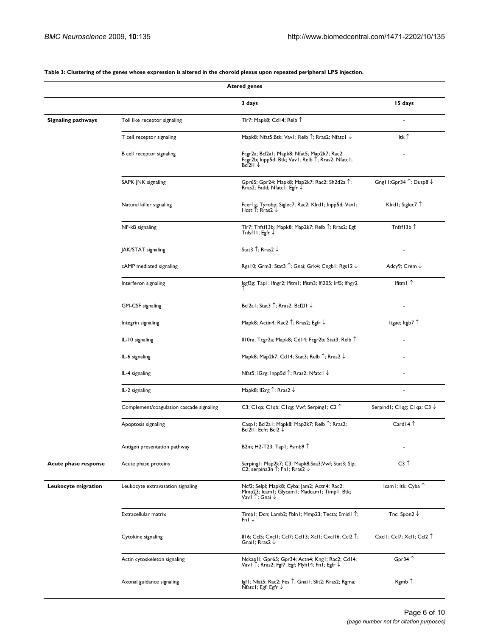**Table 3: Clustering of the genes whose expression is altered in the choroid plexus upon repeated peripheral LPS injection.**

| <b>Atered genes</b>       |                                          |                                                                                                                         |                                                  |  |  |  |  |  |
|---------------------------|------------------------------------------|-------------------------------------------------------------------------------------------------------------------------|--------------------------------------------------|--|--|--|--|--|
|                           |                                          | 3 days                                                                                                                  | 15 days                                          |  |  |  |  |  |
| <b>Signaling pathways</b> | Toll like receptor signaling             | TIr7; Mapk8; Cd14; Relb T                                                                                               | ÷,                                               |  |  |  |  |  |
|                           | T cell receptor signaling                | Mapk8; Nfat5;Btk; Vav1; Relb ↑; Rras2; Nfatc1 ↓                                                                         | Itk 1                                            |  |  |  |  |  |
|                           | B cell receptor signaling                | Fcgr2a; Bcl2a1; Mapk8; Nfat5; Map2k7; Rac2;<br>Fcgr2b; Inpp5d; Btk; Vav1; Relb 1; Rras2; Nfatc1;<br>Bci2II $\downarrow$ |                                                  |  |  |  |  |  |
|                           | SAPK JNK signaling                       | Gpr65; Gpr24; Mapk8; Map2k7; Rac2; Sh2d2a 1;<br>Rras2; Fadd; Nfatc1; Egfr ↓                                             | Gng I I; Gpr 34 $\uparrow$ ; Dusp 8 $\downarrow$ |  |  |  |  |  |
|                           | Natural killer signaling                 | Fcer Ig; Tyrobp; Siglec7; Rac2; KIrd1; Inpp5d; Vav1;<br>Hest $\uparrow$ : Rras2 $\downarrow$                            | KIrd I; Siglec7 1                                |  |  |  |  |  |
|                           | NF-kB signaling                          | TIr7; Tnfsf13b; Mapk8; Map2k7; Relb 1; Rras2; Egf;<br>Tnfsf11; Egfr $\downarrow$                                        | Tnfsf13b $\uparrow$                              |  |  |  |  |  |
|                           | JAK/STAT signaling                       | Stat3 ↑: Rras2 ↓                                                                                                        |                                                  |  |  |  |  |  |
|                           | cAMP mediated signaling                  | Rgs10; Grm3; Stat3 ↑; Gnai; Grk4; Cngb1; Rgs12 ↓                                                                        | Adcy9; Crem ↓                                    |  |  |  |  |  |
|                           | Interferon signaling                     | lsgf3g; Tap1; lfngr2; lfitm1; lfitm3; lfi205; lrf5; lfngr2                                                              | Ifitm $\int$                                     |  |  |  |  |  |
|                           | GM-CSF signaling                         | Bcl2a1; Stat3 $\uparrow$ ; Rras2; Bcl211 $\downarrow$                                                                   |                                                  |  |  |  |  |  |
|                           | Integrin signaling                       | Mapk8; Actin4; Rac2 ↑; Rras2; Egfr ↓                                                                                    | Itgae; Itgb7 $\uparrow$                          |  |  |  |  |  |
|                           | IL-10 signaling                          | III Ora; Tcgr2a; Mapk8; Cd14; Fcgr2b; Stat3; Relb 1                                                                     |                                                  |  |  |  |  |  |
|                           | IL-6 signaling                           | Mapk8; Map2k7; Cd14; Stat3; Relb ↑; Rras2 ↓                                                                             | L.                                               |  |  |  |  |  |
|                           | IL-4 signaling                           | Nfat5; II2rg; Inpp5d ↑; Rras2; Nfatc1 ↓                                                                                 |                                                  |  |  |  |  |  |
|                           | IL-2 signaling                           | Mapk8; II2rg $\uparrow$ ; Rras2 $\downarrow$                                                                            |                                                  |  |  |  |  |  |
|                           | Complement/coagulation cascade signaling | C3; C1qa; C1qb; C1qg; Vwf; Serping1; C2 1                                                                               | Serpind1; C1qg; C1qa; C3 ↓                       |  |  |  |  |  |
|                           | Apoptosis signaling                      | Casp1; Bcl2a1; Mapk8; Map2k7; Relb 1; Rras2;<br>Bcl2II; Ecfr; Bcl2 $\downarrow$                                         | Card $14$                                        |  |  |  |  |  |
|                           | Antigen presentation pathway             | B2m; H2-T23; Tap1; Psmb9 $\uparrow$                                                                                     |                                                  |  |  |  |  |  |
| Acute phase response      | Acute phase proteins                     | Serping1; Map2k7; C3; Mapk8;Saa3;Vwf; Stat3; Slp;<br>C2; serpina3n $\uparrow$ ; Fn1; Rras2 $\downarrow$                 | C3 ↑                                             |  |  |  |  |  |
| Leukocyte migration       | Leukocyte extravasation signaling        | Ncf2; Selpl; Mapk8; Cyba; Jam2; Actn4; Rac2;<br>Mmp23; Icam1; Glycam1; Madcam1; Timp1; Btk;<br>Vav I ↑: Gnai ↓          | Icam I; Itk; Cyba T                              |  |  |  |  |  |
|                           | Extracellular matrix                     | Timp1; Dcn; Lamb2; Fbln1; Mmp23; Tecta; Emid1 1;<br>Fn I $\downarrow$                                                   | Tnc; Spon2 $\downarrow$                          |  |  |  |  |  |
|                           | Cytokine signaling                       | II16; Ccl5; Cxcl1; Ccl7; Ccl13; Xcl1; Cxcl16; Ccl2 ↑;<br>Gnail; Rras $2 \downarrow$                                     | Cxcl1; Ccl7; Xcl1; Ccl2 1                        |  |  |  |  |  |
|                           | Actin cytoskeleton signaling             | Nckap II; Gpr65; Gpr34; Actn4; Kng1; Rac2; Cd14;<br>Vav I 1; Rras2; Fgf7; Egf; Myh I 4; Fn I; Egfr ↓                    | Gpr34 ↑                                          |  |  |  |  |  |
|                           | Axonal guidance signaling                | Igf1; Nfat5; Rac2; Fes 1; Gnai1; Slit2; Rras2; Rgma;<br>Nfatc1; Egf; Egfr $\downarrow$                                  | Rgmb 1                                           |  |  |  |  |  |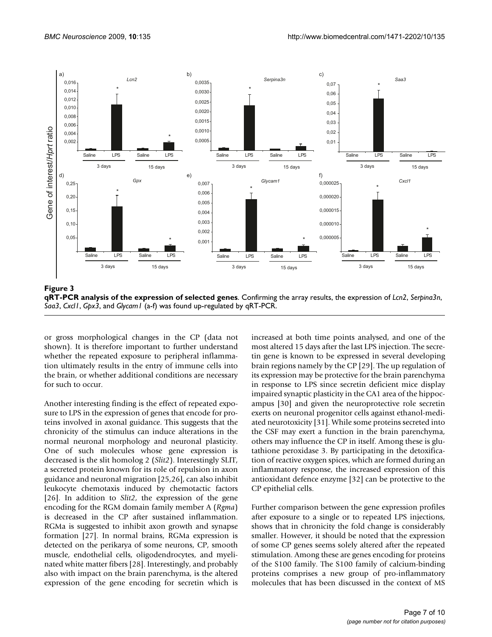

**qRT-PCR analysis of the expression of selected genes**. Confirming the array results, the expression of *Lcn2*, *Serpina3n*, *Saa3*, *Cxcl1*, *Gpx3*, and *Glycam1* (a-f) was found up-regulated by qRT-PCR.

or gross morphological changes in the CP (data not shown). It is therefore important to further understand whether the repeated exposure to peripheral inflammation ultimately results in the entry of immune cells into the brain, or whether additional conditions are necessary for such to occur.

Another interesting finding is the effect of repeated exposure to LPS in the expression of genes that encode for proteins involved in axonal guidance. This suggests that the chronicity of the stimulus can induce alterations in the normal neuronal morphology and neuronal plasticity. One of such molecules whose gene expression is decreased is the slit homolog 2 (*Slit2*). Interestingly SLIT, a secreted protein known for its role of repulsion in axon guidance and neuronal migration [25,26], can also inhibit leukocyte chemotaxis induced by chemotactic factors [26]. In addition to *Slit2*, the expression of the gene encoding for the RGM domain family member A (*Rgma*) is decreased in the CP after sustained inflammation. RGMa is suggested to inhibit axon growth and synapse formation [27]. In normal brains, RGMa expression is detected on the perikarya of some neurons, CP, smooth muscle, endothelial cells, oligodendrocytes, and myelinated white matter fibers [28]. Interestingly, and probably also with impact on the brain parenchyma, is the altered expression of the gene encoding for secretin which is

increased at both time points analysed, and one of the most altered 15 days after the last LPS injection. The secretin gene is known to be expressed in several developing brain regions namely by the CP [29]. The up regulation of its expression may be protective for the brain parenchyma in response to LPS since secretin deficient mice display impaired synaptic plasticity in the CA1 area of the hippocampus [30] and given the neuroprotective role secretin exerts on neuronal progenitor cells against ethanol-mediated neurotoxicity [31]. While some proteins secreted into the CSF may exert a function in the brain parenchyma, others may influence the CP in itself. Among these is glutathione peroxidase 3. By participating in the detoxification of reactive oxygen spices, which are formed during an inflammatory response, the increased expression of this antioxidant defence enzyme [32] can be protective to the CP epithelial cells.

Further comparison between the gene expression profiles after exposure to a single or to repeated LPS injections, shows that in chronicity the fold change is considerably smaller. However, it should be noted that the expression of some CP genes seems solely altered after the repeated stimulation. Among these are genes encoding for proteins of the S100 family. The S100 family of calcium-binding proteins comprises a new group of pro-inflammatory molecules that has been discussed in the context of MS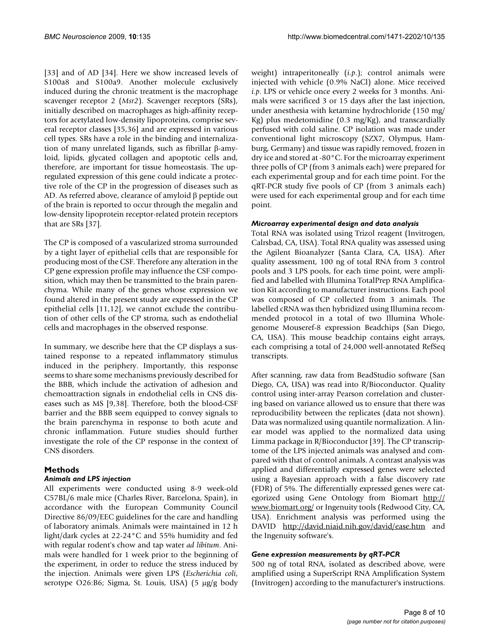[33] and of AD [34]. Here we show increased levels of S100a8 and S100a9. Another molecule exclusively induced during the chronic treatment is the macrophage scavenger receptor 2 (*Msr2*). Scavenger receptors (SRs), initially described on macrophages as high-affinity receptors for acetylated low-density lipoproteins, comprise several receptor classes [35,36] and are expressed in various cell types. SRs have a role in the binding and internalization of many unrelated ligands, such as fibrillar β-amyloid, lipids, glycated collagen and apoptotic cells and, therefore, are important for tissue homeostasis. The upregulated expression of this gene could indicate a protective role of the CP in the progression of diseases such as AD. As referred above, clearance of amyloid β peptide out of the brain is reported to occur through the megalin and low-density lipoprotein receptor-related protein receptors that are SRs [37].

The CP is composed of a vascularized stroma surrounded by a tight layer of epithelial cells that are responsible for producing most of the CSF. Therefore any alteration in the CP gene expression profile may influence the CSF composition, which may then be transmitted to the brain parenchyma. While many of the genes whose expression we found altered in the present study are expressed in the CP epithelial cells [11,12], we cannot exclude the contribution of other cells of the CP stroma, such as endothelial cells and macrophages in the observed response.

In summary, we describe here that the CP displays a sustained response to a repeated inflammatory stimulus induced in the periphery. Importantly, this response seems to share some mechanisms previously described for the BBB, which include the activation of adhesion and chemoattraction signals in endothelial cells in CNS diseases such as MS [9,38]. Therefore, both the blood-CSF barrier and the BBB seem equipped to convey signals to the brain parenchyma in response to both acute and chronic inflammation. Future studies should further investigate the role of the CP response in the context of CNS disorders.

# **Methods**

# *Animals and LPS injection*

All experiments were conducted using 8-9 week-old C57BL/6 male mice (Charles River, Barcelona, Spain), in accordance with the European Community Council Directive 86/09/EEC guidelines for the care and handling of laboratory animals. Animals were maintained in 12 h light/dark cycles at 22-24°C and 55% humidity and fed with regular rodent's chow and tap water *ad libitum*. Animals were handled for 1 week prior to the beginning of the experiment, in order to reduce the stress induced by the injection. Animals were given LPS (*Escherichia coli*, serotype O26:B6; Sigma, St. Louis, USA) (5 μg/g body weight) intraperitoneally (*i.p*.); control animals were injected with vehicle (0.9% NaCl) alone. Mice received *i.p*. LPS or vehicle once every 2 weeks for 3 months. Animals were sacrificed 3 or 15 days after the last injection, under anesthesia with ketamine hydrochloride (150 mg/ Kg) plus medetomidine (0.3 mg/Kg), and transcardially perfused with cold saline. CP isolation was made under conventional light microscopy (SZX7, Olympus, Hamburg, Germany) and tissue was rapidly removed, frozen in dry ice and stored at -80°C. For the microarray experiment three polls of CP (from 3 animals each) were prepared for each experimental group and for each time point. For the qRT-PCR study five pools of CP (from 3 animals each) were used for each experimental group and for each time point.

# *Microarray experimental design and data analysis*

Total RNA was isolated using Trizol reagent (Invitrogen, Calrsbad, CA, USA). Total RNA quality was assessed using the Agilent Bioanalyzer (Santa Clara, CA, USA). After quality assessment, 100 ng of total RNA from 3 control pools and 3 LPS pools, for each time point, were amplified and labelled with Illumina TotalPrep RNA Amplification Kit according to manufacturer instructions. Each pool was composed of CP collected from 3 animals. The labelled cRNA was then hybridized using Illumina recommended protocol in a total of two Illumina Wholegenome Mouseref-8 expression Beadchips (San Diego, CA, USA). This mouse beadchip contains eight arrays, each comprising a total of 24,000 well-annotated RefSeq transcripts.

After scanning, raw data from BeadStudio software (San Diego, CA, USA) was read into R/Bioconductor. Quality control using inter-array Pearson correlation and clustering based on variance allowed us to ensure that there was reproducibility between the replicates (data not shown). Data was normalized using quantile normalization. A linear model was applied to the normalized data using Limma package in R/Bioconductor [39]. The CP transcriptome of the LPS injected animals was analysed and compared with that of control animals. A contrast analysis was applied and differentially expressed genes were selected using a Bayesian approach with a false discovery rate (FDR) of 5%. The differentially expressed genes were categorized using Gene Ontology from Biomart [http://](http://www.biomart.org/) [www.biomart.org/](http://www.biomart.org/) or Ingenuity tools (Redwood City, CA, USA). Enrichment analysis was performed using the DAVID <http://david.niaid.nih.gov/david/ease.htm>and the Ingenuity software's.

#### *Gene expression measurements by qRT-PCR*

500 ng of total RNA, isolated as described above, were amplified using a SuperScript RNA Amplification System (Invitrogen) according to the manufacturer's instructions.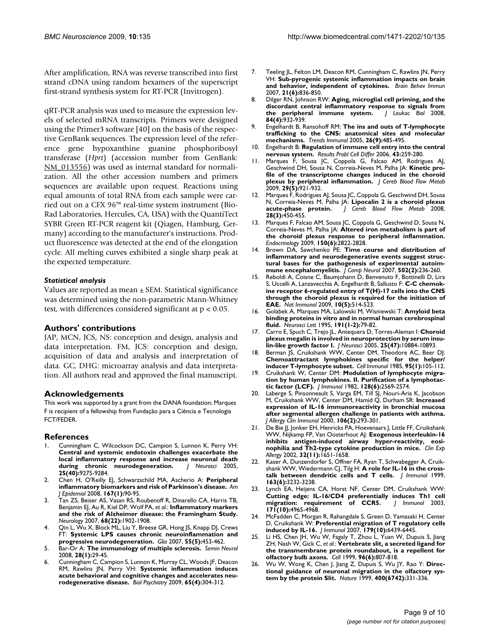After amplification, RNA was reverse transcribed into first strand cDNA using random hexamers of the superscript first-strand synthesis system for RT-PCR (Invitrogen).

qRT-PCR analysis was used to measure the expression levels of selected mRNA transcripts. Primers were designed using the Primer3 software [40] on the basis of the respective GenBank sequences. The expression level of the reference gene hypoxanthine guanine phosphoribosyl transferase (*Hprt*) (accession number from GenBank: NM 013556) was used as internal standard for normalization. All the other accession numbers and primers sequences are available upon request. Reactions using equal amounts of total RNA from each sample were carried out on a CFX 96™ real-time system instrument (Bio-Rad Laboratories, Hercules, CA, USA) with the QuantiTect SYBR Green RT-PCR reagent kit (Qiagen, Hamburg, Germany) according to the manufacturer's instructions. Product fluorescence was detected at the end of the elongation cycle. All melting curves exhibited a single sharp peak at the expected temperature.

### *Statistical analysis*

Values are reported as mean  $\pm$  SEM. Statistical significance was determined using the non-parametric Mann-Whitney test, with differences considered significant at p < 0.05.

# **Authors' contributions**

JAP, MCN, JCS, NS: conception and design, analysis and data interpretation. FM, JCS: conception and design, acquisition of data and analysis and interpretation of data. GC, DHG: microarray analysis and data interpretation. All authors read and approved the final manuscript.

# **Acknowledgements**

This work was supported by a grant from the DANA foundation; Marques F is recipient of a fellowship from Fundação para a Ciência e Tecnologia FCT/FEDER.

# **References**

- 1. Cunningham C, Wilcockson DC, Campion S, Lunnon K, Perry VH: **[Central and systemic endotoxin challenges exacerbate the](http://www.ncbi.nlm.nih.gov/entrez/query.fcgi?cmd=Retrieve&db=PubMed&dopt=Abstract&list_uids=16207887) local inflammatory response and increase neuronal death [during chronic neurodegeneration.](http://www.ncbi.nlm.nih.gov/entrez/query.fcgi?cmd=Retrieve&db=PubMed&dopt=Abstract&list_uids=16207887)** *J Neurosci* 2005, **25(40):**9275-9284.
- 2. Chen H, O'Reilly EJ, Schwarzschild MA, Ascherio A: **[Peripheral](http://www.ncbi.nlm.nih.gov/entrez/query.fcgi?cmd=Retrieve&db=PubMed&dopt=Abstract&list_uids=17890755) [inflammatory biomarkers and risk of Parkinson's disease.](http://www.ncbi.nlm.nih.gov/entrez/query.fcgi?cmd=Retrieve&db=PubMed&dopt=Abstract&list_uids=17890755)** *Am J Epidemiol* 2008, **167(1):**90-95.
- 3. Tan ZS, Beiser AS, Vasan RS, Roubenoff R, Dinarello CA, Harris TB, Benjamin EJ, Au R, Kiel DP, Wolf PA, *et al.*: **[Inflammatory markers](http://www.ncbi.nlm.nih.gov/entrez/query.fcgi?cmd=Retrieve&db=PubMed&dopt=Abstract&list_uids=17536046) [and the risk of Alzheimer disease: the Framingham Study.](http://www.ncbi.nlm.nih.gov/entrez/query.fcgi?cmd=Retrieve&db=PubMed&dopt=Abstract&list_uids=17536046)** *Neurology* 2007, **68(22):**1902-1908.
- 4. Qin L, Wu X, Block ML, Liu Y, Breese GR, Hong JS, Knapp DJ, Crews FT: **[Systemic LPS causes chronic neuroinflammation and](http://www.ncbi.nlm.nih.gov/entrez/query.fcgi?cmd=Retrieve&db=PubMed&dopt=Abstract&list_uids=17203472) [progressive neurodegeneration.](http://www.ncbi.nlm.nih.gov/entrez/query.fcgi?cmd=Retrieve&db=PubMed&dopt=Abstract&list_uids=17203472)** *Glia* 2007, **55(5):**453-462.
- 5. Bar-Or A: **[The immunology of multiple sclerosis.](http://www.ncbi.nlm.nih.gov/entrez/query.fcgi?cmd=Retrieve&db=PubMed&dopt=Abstract&list_uids=18256985)** *Semin Neurol* 2008, **28(1):**29-45.
- 6. Cunningham C, Campion S, Lunnon K, Murray CL, Woods JF, Deacon RM, Rawlins JN, Perry VH: **[Systemic inflammation induces](http://www.ncbi.nlm.nih.gov/entrez/query.fcgi?cmd=Retrieve&db=PubMed&dopt=Abstract&list_uids=18801476) [acute behavioral and cognitive changes and accelerates neu](http://www.ncbi.nlm.nih.gov/entrez/query.fcgi?cmd=Retrieve&db=PubMed&dopt=Abstract&list_uids=18801476)[rodegenerative disease.](http://www.ncbi.nlm.nih.gov/entrez/query.fcgi?cmd=Retrieve&db=PubMed&dopt=Abstract&list_uids=18801476)** *Biol Psychiatry* 2009, **65(4):**304-312.
- 7. Teeling JL, Felton LM, Deacon RM, Cunningham C, Rawlins JN, Perry VH: **[Sub-pyrogenic systemic inflammation impacts on brain](http://www.ncbi.nlm.nih.gov/entrez/query.fcgi?cmd=Retrieve&db=PubMed&dopt=Abstract&list_uids=17367989) [and behavior, independent of cytokines.](http://www.ncbi.nlm.nih.gov/entrez/query.fcgi?cmd=Retrieve&db=PubMed&dopt=Abstract&list_uids=17367989)** *Brain Behav Immun* 2007, **21(6):**836-850.
- 8. Dilger RN, Johnson RW: **[Aging, microglial cell priming, and the](http://www.ncbi.nlm.nih.gov/entrez/query.fcgi?cmd=Retrieve&db=PubMed&dopt=Abstract&list_uids=18495785) [discordant central inflammatory response to signals from](http://www.ncbi.nlm.nih.gov/entrez/query.fcgi?cmd=Retrieve&db=PubMed&dopt=Abstract&list_uids=18495785) [the peripheral immune system.](http://www.ncbi.nlm.nih.gov/entrez/query.fcgi?cmd=Retrieve&db=PubMed&dopt=Abstract&list_uids=18495785)** *J Leukoc Biol* 2008, **84(4):**932-939.
- 9. Engelhardt B, Ransohoff RM: **[The ins and outs of T-lymphocyte](http://www.ncbi.nlm.nih.gov/entrez/query.fcgi?cmd=Retrieve&db=PubMed&dopt=Abstract&list_uids=16039904) [trafficking to the CNS: anatomical sites and molecular](http://www.ncbi.nlm.nih.gov/entrez/query.fcgi?cmd=Retrieve&db=PubMed&dopt=Abstract&list_uids=16039904) [mechanisms.](http://www.ncbi.nlm.nih.gov/entrez/query.fcgi?cmd=Retrieve&db=PubMed&dopt=Abstract&list_uids=16039904)** *Trends Immunol* 2005, **26(9):**485-495.
- 10. Engelhardt B: **[Regulation of immune cell entry into the central](http://www.ncbi.nlm.nih.gov/entrez/query.fcgi?cmd=Retrieve&db=PubMed&dopt=Abstract&list_uids=17068976) [nervous system.](http://www.ncbi.nlm.nih.gov/entrez/query.fcgi?cmd=Retrieve&db=PubMed&dopt=Abstract&list_uids=17068976)** *Results Probl Cell Differ* 2006, **43:**259-280.
- 11. Marques F, Sousa JC, Coppola G, Falcao AM, Rodrigues AJ, Geschwind DH, Sousa N, Correia-Neves M, Palha JA: **[Kinetic pro](http://www.ncbi.nlm.nih.gov/entrez/query.fcgi?cmd=Retrieve&db=PubMed&dopt=Abstract&list_uids=19240744)[file of the transcriptome changes induced in the choroid](http://www.ncbi.nlm.nih.gov/entrez/query.fcgi?cmd=Retrieve&db=PubMed&dopt=Abstract&list_uids=19240744) [plexus by peripheral inflammation.](http://www.ncbi.nlm.nih.gov/entrez/query.fcgi?cmd=Retrieve&db=PubMed&dopt=Abstract&list_uids=19240744)** *J Cereb Blood Flow Metab* 2009, **29(5):**921-932.
- 12. Marques F, Rodrigues AJ, Sousa JC, Coppola G, Geschwind DH, Sousa N, Correia-Neves M, Palha JA: **[Lipocalin 2 is a choroid plexus](http://www.ncbi.nlm.nih.gov/entrez/query.fcgi?cmd=Retrieve&db=PubMed&dopt=Abstract&list_uids=17895910) [acute-phase protein.](http://www.ncbi.nlm.nih.gov/entrez/query.fcgi?cmd=Retrieve&db=PubMed&dopt=Abstract&list_uids=17895910)** *J Cereb Blood Flow Metab* 2008, **28(3):**450-455.
- 13. Marques F, Falcao AM, Sousa JC, Coppola G, Geschwind D, Sousa N, Correia-Neves M, Palha JA: **[Altered iron metabolism is part of](http://www.ncbi.nlm.nih.gov/entrez/query.fcgi?cmd=Retrieve&db=PubMed&dopt=Abstract&list_uids=19213835) [the choroid plexus response to peripheral inflammation.](http://www.ncbi.nlm.nih.gov/entrez/query.fcgi?cmd=Retrieve&db=PubMed&dopt=Abstract&list_uids=19213835)** *Endocrinology* 2009, **150(6):**2822-2828.
- Brown DA, Sawchenko PE: [Time course and distribution of](http://www.ncbi.nlm.nih.gov/entrez/query.fcgi?cmd=Retrieve&db=PubMed&dopt=Abstract&list_uids=17348011) **[inflammatory and neurodegenerative events suggest struc](http://www.ncbi.nlm.nih.gov/entrez/query.fcgi?cmd=Retrieve&db=PubMed&dopt=Abstract&list_uids=17348011)tural bases for the pathogenesis of experimental autoim[mune encephalomyelitis.](http://www.ncbi.nlm.nih.gov/entrez/query.fcgi?cmd=Retrieve&db=PubMed&dopt=Abstract&list_uids=17348011)** *J Comp Neurol* 2007, **502(2):**236-260.
- Reboldi A, Coisne C, Baumjohann D, Benvenuto F, Bottinelli D, Lira S, Uccelli A, Lanzavecchia A, Engelhardt B, Sallusto F: **[C-C chemok](http://www.ncbi.nlm.nih.gov/entrez/query.fcgi?cmd=Retrieve&db=PubMed&dopt=Abstract&list_uids=19305396)[ine receptor 6-regulated entry of T\(H\)-17 cells into the CNS](http://www.ncbi.nlm.nih.gov/entrez/query.fcgi?cmd=Retrieve&db=PubMed&dopt=Abstract&list_uids=19305396) through the choroid plexus is required for the initiation of [EAE.](http://www.ncbi.nlm.nih.gov/entrez/query.fcgi?cmd=Retrieve&db=PubMed&dopt=Abstract&list_uids=19305396)** *Nat Immunol* 2009, **10(5):**514-523.
- 16. Golabek A, Marques MA, Lalowski M, Wisniewski T: **[Amyloid beta](http://www.ncbi.nlm.nih.gov/entrez/query.fcgi?cmd=Retrieve&db=PubMed&dopt=Abstract&list_uids=7659297) [binding proteins in vitro and in normal human cerebrospinal](http://www.ncbi.nlm.nih.gov/entrez/query.fcgi?cmd=Retrieve&db=PubMed&dopt=Abstract&list_uids=7659297) [fluid.](http://www.ncbi.nlm.nih.gov/entrez/query.fcgi?cmd=Retrieve&db=PubMed&dopt=Abstract&list_uids=7659297)** *Neurosci Lett* 1995, **191(1-2):**79-82.
- 17. Carro E, Spuch C, Trejo JL, Antequera D, Torres-Aleman I: **[Choroid](http://www.ncbi.nlm.nih.gov/entrez/query.fcgi?cmd=Retrieve&db=PubMed&dopt=Abstract&list_uids=16306401) [plexus megalin is involved in neuroprotection by serum insu](http://www.ncbi.nlm.nih.gov/entrez/query.fcgi?cmd=Retrieve&db=PubMed&dopt=Abstract&list_uids=16306401)[lin-like growth factor I.](http://www.ncbi.nlm.nih.gov/entrez/query.fcgi?cmd=Retrieve&db=PubMed&dopt=Abstract&list_uids=16306401)** *J Neurosci* 2005, **25(47):**10884-10893.
- 18. Berman JS, Cruikshank WW, Center DM, Theodore AC, Beer DJ: **[Chemoattractant lymphokines specific for the helper/](http://www.ncbi.nlm.nih.gov/entrez/query.fcgi?cmd=Retrieve&db=PubMed&dopt=Abstract&list_uids=3161625) [inducer T-lymphocyte subset.](http://www.ncbi.nlm.nih.gov/entrez/query.fcgi?cmd=Retrieve&db=PubMed&dopt=Abstract&list_uids=3161625)** *Cell Immunol* 1985, **95(1):**105-112.
- 19. Cruikshank W, Center DM: **[Modulation of lymphocyte migra](http://www.ncbi.nlm.nih.gov/entrez/query.fcgi?cmd=Retrieve&db=PubMed&dopt=Abstract&list_uids=7042841)[tion by human lymphokines. II. Purification of a lymphotac](http://www.ncbi.nlm.nih.gov/entrez/query.fcgi?cmd=Retrieve&db=PubMed&dopt=Abstract&list_uids=7042841)[tic factor \(LCF\).](http://www.ncbi.nlm.nih.gov/entrez/query.fcgi?cmd=Retrieve&db=PubMed&dopt=Abstract&list_uids=7042841)** *J Immunol* 1982, **128(6):**2569-2574.
- 20. Laberge S, Pinsonneault S, Varga EM, Till SJ, Nouri-Aria K, Jacobson M, Cruikshank WW, Center DM, Hamid Q, Durham SR: **[Increased](http://www.ncbi.nlm.nih.gov/entrez/query.fcgi?cmd=Retrieve&db=PubMed&dopt=Abstract&list_uids=10932073) [expression of IL-16 immunoreactivity in bronchial mucosa](http://www.ncbi.nlm.nih.gov/entrez/query.fcgi?cmd=Retrieve&db=PubMed&dopt=Abstract&list_uids=10932073) after segmental allergen challenge in patients with asthma.** *J Allergy Clin Immunol* 2000, **106(2):**293-301.
- 21. De Bie JJ, Jonker EH, Henricks PA, Hoevenaars J, Little FF, Cruikshank WW, Nijkamp FP, Van Oosterhout AJ: **[Exogenous interleukin-16](http://www.ncbi.nlm.nih.gov/entrez/query.fcgi?cmd=Retrieve&db=PubMed&dopt=Abstract&list_uids=12569988) [inhibits antigen-induced airway hyper-reactivity, eosi](http://www.ncbi.nlm.nih.gov/entrez/query.fcgi?cmd=Retrieve&db=PubMed&dopt=Abstract&list_uids=12569988)[nophilia and Th2-type cytokine production in mice.](http://www.ncbi.nlm.nih.gov/entrez/query.fcgi?cmd=Retrieve&db=PubMed&dopt=Abstract&list_uids=12569988)** *Clin Exp Allergy* 2002, **32(11):**1651-1658.
- 22. Kaser A, Dunzendorfer S, Offner FA, Ryan T, Schwabegger A, Cruikshank WW, Wiedermann CJ, Tilg H: **[A role for IL-16 in the cross](http://www.ncbi.nlm.nih.gov/entrez/query.fcgi?cmd=Retrieve&db=PubMed&dopt=Abstract&list_uids=10477592)[talk between dendritic cells and T cells.](http://www.ncbi.nlm.nih.gov/entrez/query.fcgi?cmd=Retrieve&db=PubMed&dopt=Abstract&list_uids=10477592)** *J Immunol* 1999, **163(6):**3232-3238.
- 23. Lynch EA, Heijens CA, Horst NF, Center DM, Cruikshank WW: **[Cutting edge: IL-16/CD4 preferentially induces Th1 cell](http://www.ncbi.nlm.nih.gov/entrez/query.fcgi?cmd=Retrieve&db=PubMed&dopt=Abstract&list_uids=14607889)**  $migration:$  **requirement** of **CCR5. 171(10):**4965-4968.
- 24. McFadden C, Morgan R, Rahangdale S, Green D, Yamasaki H, Center D, Cruikshank W: **[Preferential migration of T regulatory cells](http://www.ncbi.nlm.nih.gov/entrez/query.fcgi?cmd=Retrieve&db=PubMed&dopt=Abstract&list_uids=17982032) [induced by IL-16.](http://www.ncbi.nlm.nih.gov/entrez/query.fcgi?cmd=Retrieve&db=PubMed&dopt=Abstract&list_uids=17982032)** *J Immunol* 2007, **179(10):**6439-6445.
- 25. Li HS, Chen JH, Wu W, Fagaly T, Zhou L, Yuan W, Dupuis S, Jiang ZH, Nash W, Gick C, *et al.*: **[Vertebrate slit, a secreted ligand for](http://www.ncbi.nlm.nih.gov/entrez/query.fcgi?cmd=Retrieve&db=PubMed&dopt=Abstract&list_uids=10102269) [the transmembrane protein roundabout, is a repellent for](http://www.ncbi.nlm.nih.gov/entrez/query.fcgi?cmd=Retrieve&db=PubMed&dopt=Abstract&list_uids=10102269) [olfactory bulb axons.](http://www.ncbi.nlm.nih.gov/entrez/query.fcgi?cmd=Retrieve&db=PubMed&dopt=Abstract&list_uids=10102269)** *Cell* 1999, **96(6):**807-818.
- 26. Wu W, Wong K, Chen J, Jiang Z, Dupuis S, Wu JY, Rao Y: **[Direc](http://www.ncbi.nlm.nih.gov/entrez/query.fcgi?cmd=Retrieve&db=PubMed&dopt=Abstract&list_uids=10432110)[tional guidance of neuronal migration in the olfactory sys](http://www.ncbi.nlm.nih.gov/entrez/query.fcgi?cmd=Retrieve&db=PubMed&dopt=Abstract&list_uids=10432110)[tem by the protein Slit.](http://www.ncbi.nlm.nih.gov/entrez/query.fcgi?cmd=Retrieve&db=PubMed&dopt=Abstract&list_uids=10432110)** *Nature* 1999, **400(6742):**331-336.